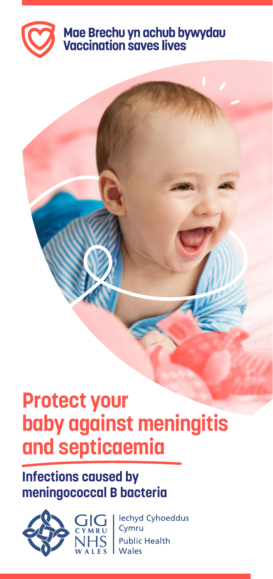

# Mae Brechu yn achub bywydau<br>Vaccination saves lives

# **Protect your baby against meningitis and septicaemia**

#### **Infections caused by meningococcal B bacteria**





lechyd Cyhoeddus Cymru **Public Health** Wales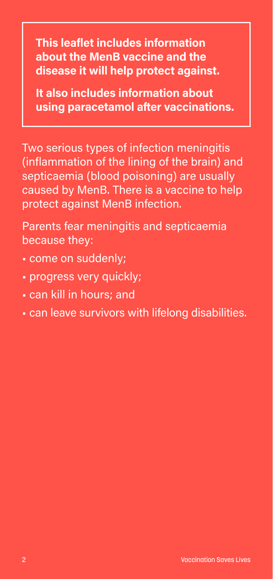**This leaflet includes information about the MenB vaccine and the disease it will help protect against.**

**It also includes information about using paracetamol after vaccinations.**

Two serious types of infection meningitis (inflammation of the lining of the brain) and septicaemia (blood poisoning) are usually caused by MenB. There is a vaccine to help protect against MenB infection.

Parents fear meningitis and septicaemia because they:

- come on suddenly;
- progress very quickly;
- can kill in hours; and
- can leave survivors with lifelong disabilities.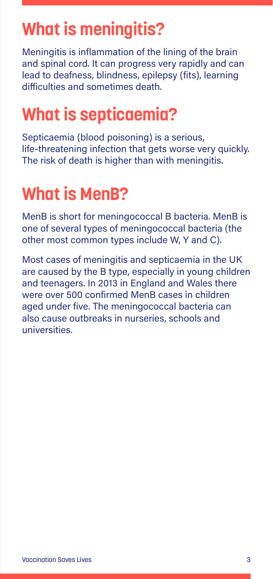# **What is meningitis?**

Meningitis is inflammation of the lining of the brain and spinal cord. It can progress very rapidly and can lead to deafness, blindness, epilepsy (fits), learning difficulties and sometimes death.

### **What is septicaemia?**

Septicaemia (blood poisoning) is a serious, life-threatening infection that gets worse very quickly. The risk of death is higher than with meningitis.

### **What is MenB?**

MenB is short for meningococcal B bacteria. MenB is one of several types of meningococcal bacteria (the other most common types include W, Y and C).

Most cases of meningitis and septicaemia in the UK are caused by the B type, especially in young children and teenagers. In 2013 in England and Wales there were over 500 confirmed MenB cases in children aged under five. The meningococcal bacteria can also cause outbreaks in nurseries, schools and universities.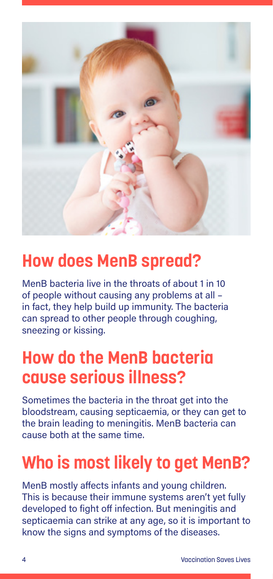

#### **How does MenB spread?**

MenB bacteria live in the throats of about 1 in 10 of people without causing any problems at all – in fact, they help build up immunity. The bacteria can spread to other people through coughing, sneezing or kissing.

#### **How do the MenB bacteria cause serious illness?**

Sometimes the bacteria in the throat get into the bloodstream, causing septicaemia, or they can get to the brain leading to meningitis. MenB bacteria can cause both at the same time.

# **Who is most likely to get MenB?**

MenB mostly affects infants and young children. This is because their immune systems aren't yet fully developed to fight off infection. But meningitis and septicaemia can strike at any age, so it is important to know the signs and symptoms of the diseases.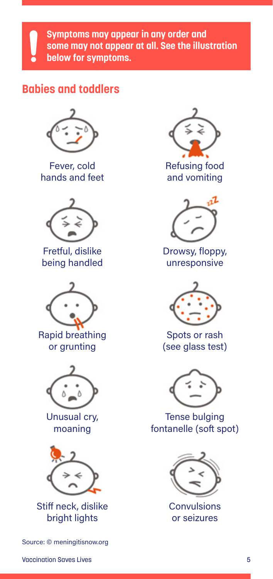#### **Babies and toddlers**



Fever, cold hands and feet



Fretful, dislike being handled



Rapid breathing or grunting



Unusual cry, moaning



Stiff neck, dislike bright lights





Drowsy, floppy, unresponsive



Spots or rash (see glass test)



Tense bulging fontanelle (soft spot)



or seizures

Source: © meningitisnow.org

Vaccination Saves Lives **5**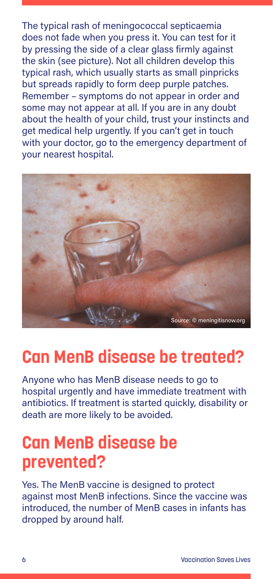The typical rash of meningococcal septicaemia does not fade when you press it. You can test for it by pressing the side of a clear glass firmly against the skin (see picture). Not all children develop this typical rash, which usually starts as small pinpricks but spreads rapidly to form deep purple patches. Remember – symptoms do not appear in order and some may not appear at all. If you are in any doubt about the health of your child, trust your instincts and get medical help urgently. If you can't get in touch with your doctor, go to the emergency department of your nearest hospital.



#### **Can MenB disease be treated?**

Anyone who has MenB disease needs to go to hospital urgently and have immediate treatment with antibiotics. If treatment is started quickly, disability or death are more likely to be avoided.

#### **Can MenB disease be prevented?**

Yes. The MenB vaccine is designed to protect against most MenB infections. Since the vaccine was introduced, the number of MenB cases in infants has dropped by around half.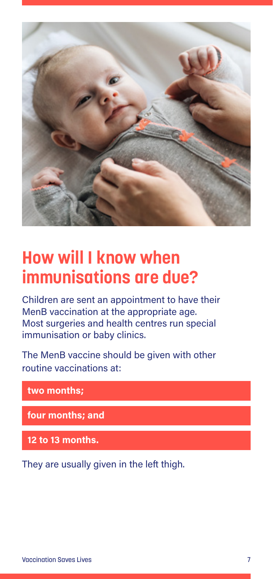

#### **How will I know when immunisations are due?**

Children are sent an appointment to have their MenB vaccination at the appropriate age. Most surgeries and health centres run special immunisation or baby clinics.

The MenB vaccine should be given with other routine vaccinations at:

**two months;**

**four months; and**

**12 to 13 months.**

They are usually given in the left thigh.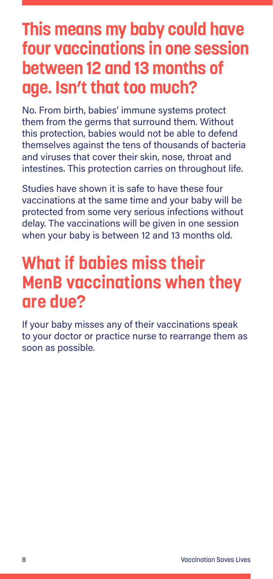#### **This means my baby could have four vaccinations in one session between 12 and 13 months of age. Isn't that too much?**

No. From birth, babies' immune systems protect them from the germs that surround them. Without this protection, babies would not be able to defend themselves against the tens of thousands of bacteria and viruses that cover their skin, nose, throat and intestines. This protection carries on throughout life.

Studies have shown it is safe to have these four vaccinations at the same time and your baby will be protected from some very serious infections without delay. The vaccinations will be given in one session when your baby is between 12 and 13 months old.

#### **What if babies miss their MenB vaccinations when they are due?**

If your baby misses any of their vaccinations speak to your doctor or practice nurse to rearrange them as soon as possible.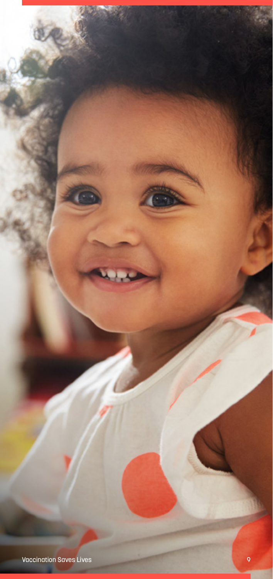**Vaccination Saves Lives** 9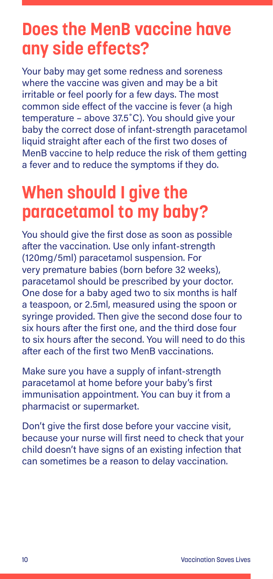#### **Does the MenB vaccine have any side effects?**

Your baby may get some redness and soreness where the vaccine was given and may be a bit irritable or feel poorly for a few days. The most common side effect of the vaccine is fever (a high temperature – above 37.5˚C). You should give your baby the correct dose of infant-strength paracetamol liquid straight after each of the first two doses of MenB vaccine to help reduce the risk of them getting a fever and to reduce the symptoms if they do.

#### **When should I give the paracetamol to my baby?**

You should give the first dose as soon as possible after the vaccination. Use only infant-strength (120mg/5ml) paracetamol suspension. For very premature babies (born before 32 weeks), paracetamol should be prescribed by your doctor. One dose for a baby aged two to six months is half a teaspoon, or 2.5ml, measured using the spoon or syringe provided. Then give the second dose four to six hours after the first one, and the third dose four to six hours after the second. You will need to do this after each of the first two MenB vaccinations.

Make sure you have a supply of infant-strength paracetamol at home before your baby's first immunisation appointment. You can buy it from a pharmacist or supermarket.

Don't give the first dose before your vaccine visit, because your nurse will first need to check that your child doesn't have signs of an existing infection that can sometimes be a reason to delay vaccination.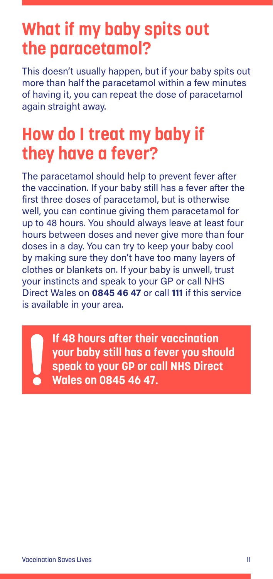#### **What if my baby spits out the paracetamol?**

This doesn't usually happen, but if your baby spits out more than half the paracetamol within a few minutes of having it, you can repeat the dose of paracetamol again straight away.

#### **How do I treat my baby if they have a fever?**

The paracetamol should help to prevent fever after the vaccination. If your baby still has a fever after the first three doses of paracetamol, but is otherwise well, you can continue giving them paracetamol for up to 48 hours. You should always leave at least four hours between doses and never give more than four doses in a day. You can try to keep your baby cool by making sure they don't have too many layers of clothes or blankets on. If your baby is unwell, trust your instincts and speak to your GP or call NHS Direct Wales on **0845 46 47** or call **111** if this service is available in your area.

> **If 48 hours after their vaccination your baby still has a fever you should speak to your GP or call NHS Direct Wales on 0845 46 47.**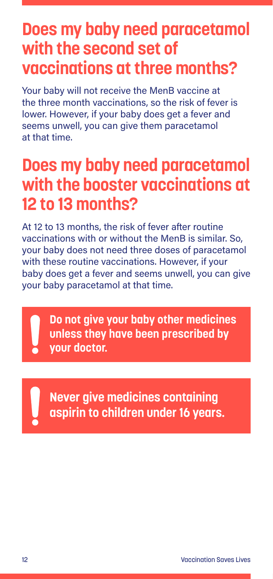#### **Does my baby need paracetamol with the second set of vaccinations at three months?**

Your baby will not receive the MenB vaccine at the three month vaccinations, so the risk of fever is lower. However, if your baby does get a fever and seems unwell, you can give them paracetamol at that time.

#### **Does my baby need paracetamol with the booster vaccinations at 12 to 13 months?**

At 12 to 13 months, the risk of fever after routine vaccinations with or without the MenB is similar. So, your baby does not need three doses of paracetamol with these routine vaccinations. However, if your baby does get a fever and seems unwell, you can give your baby paracetamol at that time.

> **Do not give your baby other medicines unless they have been prescribed by your doctor.**

**Never give medicines containing aspirin to children under 16 years.**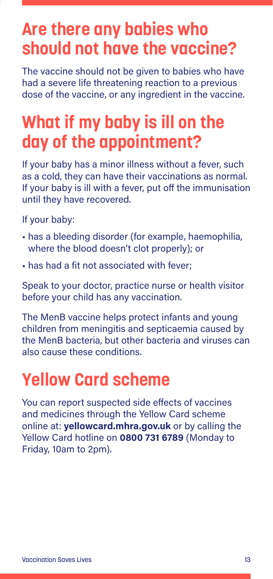### **Are there any babies who should not have the vaccine?**

The vaccine should not be given to babies who have had a severe life threatening reaction to a previous dose of the vaccine, or any ingredient in the vaccine.

### **What if my baby is ill on the day of the appointment?**

If your baby has a minor illness without a fever, such as a cold, they can have their vaccinations as normal. If your baby is ill with a fever, put off the immunisation until they have recovered.

If your baby:

- has a bleeding disorder (for example, haemophilia, where the blood doesn't clot properly); or
- has had a fit not associated with fever;

Speak to your doctor, practice nurse or health visitor before your child has any vaccination.

The MenB vaccine helps protect infants and young children from meningitis and septicaemia caused by the MenB bacteria, but other bacteria and viruses can also cause these conditions.

### **Yellow Card scheme**

You can report suspected side effects of vaccines and medicines through the Yellow Card scheme online at: **[yellowcard.mhra.gov.uk](https://yellowcard.mhra.gov.uk)** or by calling the Yellow Card hotline on **0800 731 6789** (Monday to Friday, 10am to 2pm).